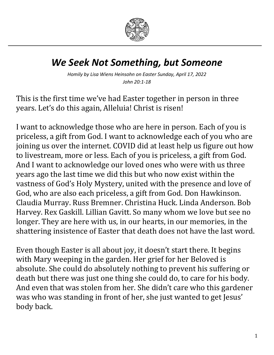

## *We Seek Not Something, but Someone*

*Homily by Lisa Wiens Heinsohn on Easter Sunday, April 17, 2022 John 20:1-18*

This is the first time we've had Easter together in person in three years. Let's do this again, Alleluia! Christ is risen!

I want to acknowledge those who are here in person. Each of you is priceless, a gift from God. I want to acknowledge each of you who are joining us over the internet. COVID did at least help us figure out how to livestream, more or less. Each of you is priceless, a gift from God. And I want to acknowledge our loved ones who were with us three years ago the last time we did this but who now exist within the vastness of God's Holy Mystery, united with the presence and love of God, who are also each priceless, a gift from God. Don Hawkinson. Claudia Murray. Russ Bremner. Christina Huck. Linda Anderson. Bob Harvey. Rex Gaskill. Lillian Gavitt. So many whom we love but see no longer. They are here with us, in our hearts, in our memories, in the shattering insistence of Easter that death does not have the last word.

Even though Easter is all about joy, it doesn't start there. It begins with Mary weeping in the garden. Her grief for her Beloved is absolute. She could do absolutely nothing to prevent his suffering or death but there was just one thing she could do, to care for his body. And even that was stolen from her. She didn't care who this gardener was who was standing in front of her, she just wanted to get Jesus' body back.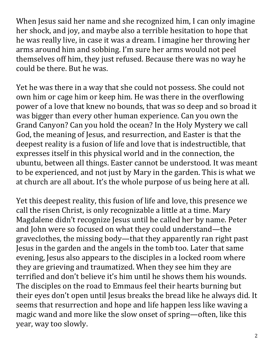When Jesus said her name and she recognized him, I can only imagine her shock, and joy, and maybe also a terrible hesitation to hope that he was really live, in case it was a dream. I imagine her throwing her arms around him and sobbing. I'm sure her arms would not peel themselves off him, they just refused. Because there was no way he could be there. But he was.

Yet he was there in a way that she could not possess. She could not own him or cage him or keep him. He was there in the overflowing power of a love that knew no bounds, that was so deep and so broad it was bigger than every other human experience. Can you own the Grand Canyon? Can you hold the ocean? In the Holy Mystery we call God, the meaning of Jesus, and resurrection, and Easter is that the deepest reality is a fusion of life and love that is indestructible, that expresses itself in this physical world and in the connection, the ubuntu, between all things. Easter cannot be understood. It was meant to be experienced, and not just by Mary in the garden. This is what we at church are all about. It's the whole purpose of us being here at all.

Yet this deepest reality, this fusion of life and love, this presence we call the risen Christ, is only recognizable a little at a time. Mary Magdalene didn't recognize Jesus until he called her by name. Peter and John were so focused on what they could understand—the graveclothes, the missing body—that they apparently ran right past Jesus in the garden and the angels in the tomb too. Later that same evening, Jesus also appears to the disciples in a locked room where they are grieving and traumatized. When they see him they are terrified and don't believe it's him until he shows them his wounds. The disciples on the road to Emmaus feel their hearts burning but their eyes don't open until Jesus breaks the bread like he always did. It seems that resurrection and hope and life happen less like waving a magic wand and more like the slow onset of spring—often, like this year, way too slowly.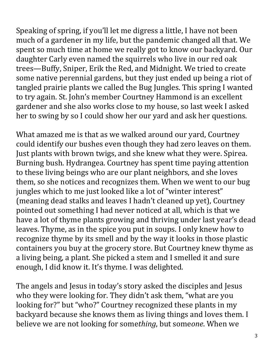Speaking of spring, if you'll let me digress a little, I have not been much of a gardener in my life, but the pandemic changed all that. We spent so much time at home we really got to know our backyard. Our daughter Carly even named the squirrels who live in our red oak trees—Buffy, Sniper, Erik the Red, and Midnight. We tried to create some native perennial gardens, but they just ended up being a riot of tangled prairie plants we called the Bug Jungles. This spring I wanted to try again. St. John's member Courtney Hammond is an excellent gardener and she also works close to my house, so last week I asked her to swing by so I could show her our yard and ask her questions.

What amazed me is that as we walked around our yard, Courtney could identify our bushes even though they had zero leaves on them. Just plants with brown twigs, and she knew what they were. Spirea. Burning bush. Hydrangea. Courtney has spent time paying attention to these living beings who are our plant neighbors, and she loves them, so she notices and recognizes them. When we went to our bug jungles which to me just looked like a lot of "winter interest" (meaning dead stalks and leaves I hadn't cleaned up yet), Courtney pointed out something I had never noticed at all, which is that we have a lot of thyme plants growing and thriving under last year's dead leaves. Thyme, as in the spice you put in soups. I only knew how to recognize thyme by its smell and by the way it looks in those plastic containers you buy at the grocery store. But Courtney knew thyme as a living being, a plant. She picked a stem and I smelled it and sure enough, I did know it. It's thyme. I was delighted.

The angels and Jesus in today's story asked the disciples and Jesus who they were looking for. They didn't ask them, "what are you looking for?" but "who?" Courtney recognized these plants in my backyard because she knows them as living things and loves them. I believe we are not looking for some*thing*, but some*one*. When we